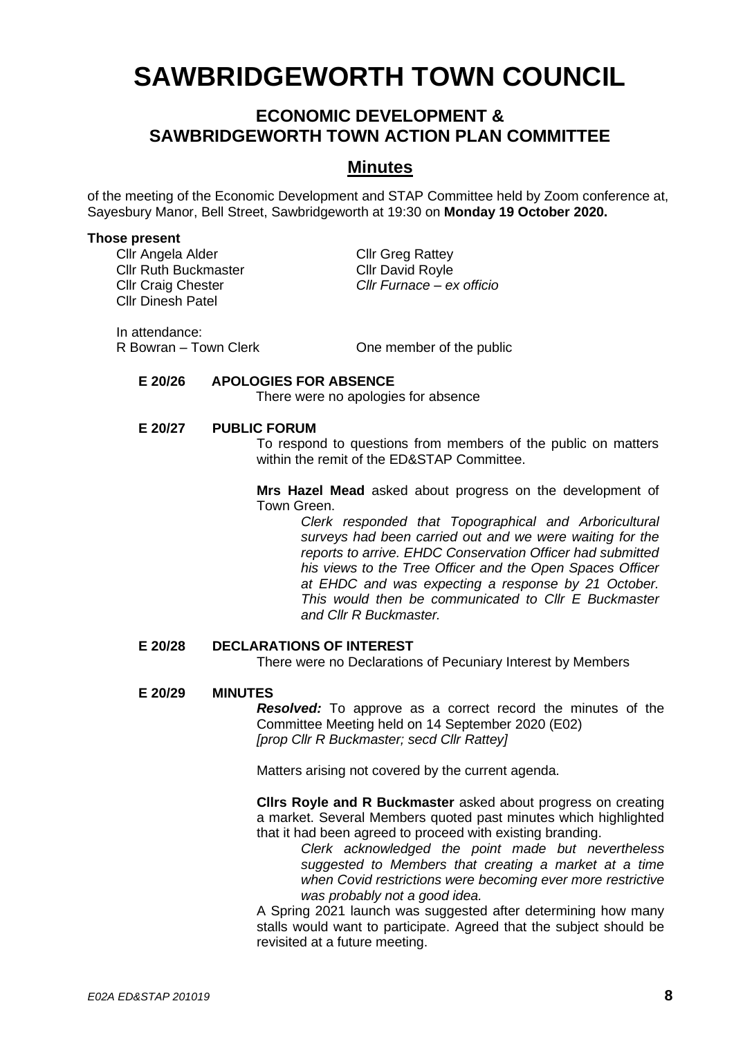# **SAWBRIDGEWORTH TOWN COUNCIL**

# **ECONOMIC DEVELOPMENT & SAWBRIDGEWORTH TOWN ACTION PLAN COMMITTEE**

## **Minutes**

of the meeting of the Economic Development and STAP Committee held by Zoom conference at, Sayesbury Manor, Bell Street, Sawbridgeworth at 19:30 on **Monday 19 October 2020.**

#### **Those present**

Cllr Angela Alder Cllr Greg Rattey<br>Cllr Ruth Buckmaster Cllr David Rovle Cllr Ruth Buckmaster Cllr Dinesh Patel

Cllr Craig Chester *Cllr Furnace – ex officio*

In attendance:

R Bowran – Town Clerk **One member of the public** 

#### **E 20/26 APOLOGIES FOR ABSENCE**

There were no apologies for absence

#### **E 20/27 PUBLIC FORUM**

To respond to questions from members of the public on matters within the remit of the ED&STAP Committee.

**Mrs Hazel Mead** asked about progress on the development of Town Green.

> *Clerk responded that Topographical and Arboricultural surveys had been carried out and we were waiting for the reports to arrive. EHDC Conservation Officer had submitted his views to the Tree Officer and the Open Spaces Officer at EHDC and was expecting a response by 21 October. This would then be communicated to Cllr E Buckmaster and Cllr R Buckmaster.*

#### **E 20/28 DECLARATIONS OF INTEREST**

There were no Declarations of Pecuniary Interest by Members

#### **E 20/29 MINUTES**

*Resolved:* To approve as a correct record the minutes of the Committee Meeting held on 14 September 2020 (E02) *[prop Cllr R Buckmaster; secd Cllr Rattey]*

Matters arising not covered by the current agenda.

**Cllrs Royle and R Buckmaster** asked about progress on creating a market. Several Members quoted past minutes which highlighted that it had been agreed to proceed with existing branding.

*Clerk acknowledged the point made but nevertheless suggested to Members that creating a market at a time when Covid restrictions were becoming ever more restrictive was probably not a good idea.*

A Spring 2021 launch was suggested after determining how many stalls would want to participate. Agreed that the subject should be revisited at a future meeting.